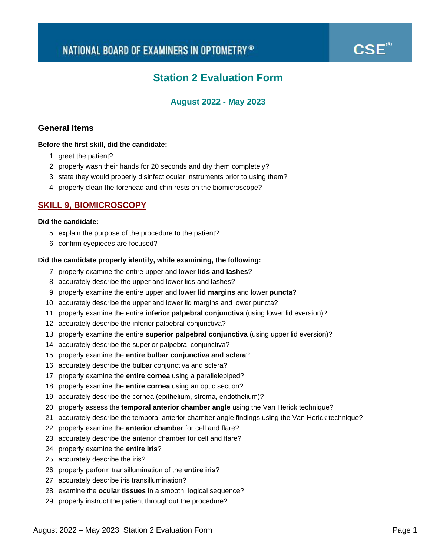# $\mathbf{CSE}^\circledast$

## **Station 2 Evaluation Form**

### **August 2022 - May 2023**

### **General Items**

### **Before the first skill, did the candidate:**

- 1. greet the patient?
- 2. properly wash their hands for 20 seconds and dry them completely?
- 3. state they would properly disinfect ocular instruments prior to using them?
- 4. properly clean the forehead and chin rests on the biomicroscope?

### **SKILL 9, BIOMICROSCOPY**

### **Did the candidate:**

- 5. explain the purpose of the procedure to the patient?
- 6. confirm eyepieces are focused?

### **Did the candidate properly identify, while examining, the following:**

- 7. properly examine the entire upper and lower **lids and lashes**?
- 8. accurately describe the upper and lower lids and lashes?
- 9. properly examine the entire upper and lower **lid margins** and lower **puncta**?
- 10. accurately describe the upper and lower lid margins and lower puncta?
- 11. properly examine the entire **inferior palpebral conjunctiva** (using lower lid eversion)?
- 12. accurately describe the inferior palpebral conjunctiva?
- 13. properly examine the entire **superior palpebral conjunctiva** (using upper lid eversion)?
- 14. accurately describe the superior palpebral conjunctiva?
- 15. properly examine the **entire bulbar conjunctiva and sclera**?
- 16. accurately describe the bulbar conjunctiva and sclera?
- 17. properly examine the **entire cornea** using a parallelepiped?
- 18. properly examine the **entire cornea** using an optic section?
- 19. accurately describe the cornea (epithelium, stroma, endothelium)?
- 20. properly assess the **temporal anterior chamber angle** using the Van Herick technique?
- 21. accurately describe the temporal anterior chamber angle findings using the Van Herick technique?
- 22. properly examine the **anterior chamber** for cell and flare?
- 23. accurately describe the anterior chamber for cell and flare?
- 24. properly examine the **entire iris**?
- 25. accurately describe the iris?
- 26. properly perform transillumination of the **entire iris**?
- 27. accurately describe iris transillumination?
- 28. examine the **ocular tissues** in a smooth, logical sequence?
- 29. properly instruct the patient throughout the procedure?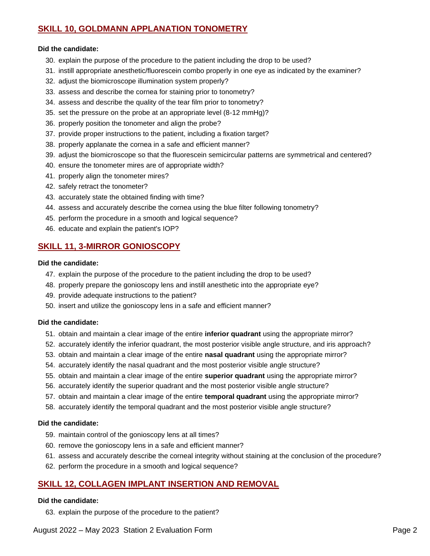### **SKILL 10, GOLDMANN APPLANATION TONOMETRY**

### **Did the candidate:**

- 30. explain the purpose of the procedure to the patient including the drop to be used?
- 31. instill appropriate anesthetic/fluorescein combo properly in one eye as indicated by the examiner?
- 32. adjust the biomicroscope illumination system properly?
- 33. assess and describe the cornea for staining prior to tonometry?
- 34. assess and describe the quality of the tear film prior to tonometry?
- 35. set the pressure on the probe at an appropriate level (8-12 mmHg)?
- 36. properly position the tonometer and align the probe?
- 37. provide proper instructions to the patient, including a fixation target?
- 38. properly applanate the cornea in a safe and efficient manner?
- 39. adjust the biomicroscope so that the fluorescein semicircular patterns are symmetrical and centered?
- 40. ensure the tonometer mires are of appropriate width?
- 41. properly align the tonometer mires?
- 42. safely retract the tonometer?
- 43. accurately state the obtained finding with time?
- 44. assess and accurately describe the cornea using the blue filter following tonometry?
- 45. perform the procedure in a smooth and logical sequence?
- 46. educate and explain the patient's IOP?

### **SKILL 11, 3-MIRROR GONIOSCOPY**

#### **Did the candidate:**

- 47. explain the purpose of the procedure to the patient including the drop to be used?
- 48. properly prepare the gonioscopy lens and instill anesthetic into the appropriate eye?
- 49. provide adequate instructions to the patient?
- 50. insert and utilize the gonioscopy lens in a safe and efficient manner?

#### **Did the candidate:**

- 51. obtain and maintain a clear image of the entire **inferior quadrant** using the appropriate mirror?
- 52. accurately identify the inferior quadrant, the most posterior visible angle structure, and iris approach?
- 53. obtain and maintain a clear image of the entire **nasal quadrant** using the appropriate mirror?
- 54. accurately identify the nasal quadrant and the most posterior visible angle structure?
- 55. obtain and maintain a clear image of the entire **superior quadrant** using the appropriate mirror?
- 56. accurately identify the superior quadrant and the most posterior visible angle structure?
- 57. obtain and maintain a clear image of the entire **temporal quadrant** using the appropriate mirror?
- 58. accurately identify the temporal quadrant and the most posterior visible angle structure?

### **Did the candidate:**

- 59. maintain control of the gonioscopy lens at all times?
- 60. remove the gonioscopy lens in a safe and efficient manner?
- 61. assess and accurately describe the corneal integrity without staining at the conclusion of the procedure?
- 62. perform the procedure in a smooth and logical sequence?

### **SKILL 12, COLLAGEN IMPLANT INSERTION AND REMOVAL**

#### **Did the candidate:**

63. explain the purpose of the procedure to the patient?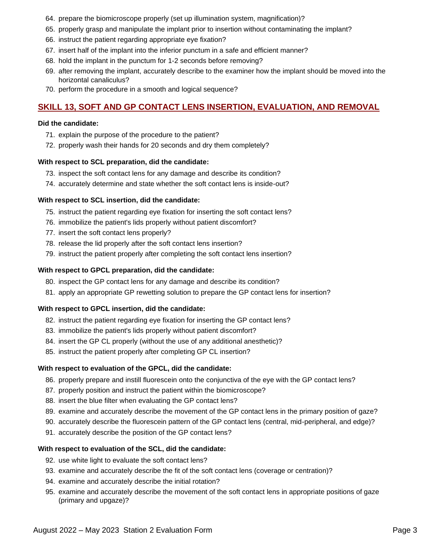- 64. prepare the biomicroscope properly (set up illumination system, magnification)?
- 65. properly grasp and manipulate the implant prior to insertion without contaminating the implant?
- 66. instruct the patient regarding appropriate eye fixation?
- 67. insert half of the implant into the inferior punctum in a safe and efficient manner?
- 68. hold the implant in the punctum for 1-2 seconds before removing?
- 69. after removing the implant, accurately describe to the examiner how the implant should be moved into the horizontal canaliculus?
- 70. perform the procedure in a smooth and logical sequence?

### **SKILL 13, SOFT AND GP CONTACT LENS INSERTION, EVALUATION, AND REMOVAL**

### **Did the candidate:**

- 71. explain the purpose of the procedure to the patient?
- 72. properly wash their hands for 20 seconds and dry them completely?

### **With respect to SCL preparation, did the candidate:**

- 73. inspect the soft contact lens for any damage and describe its condition?
- 74. accurately determine and state whether the soft contact lens is inside-out?

### **With respect to SCL insertion, did the candidate:**

- 75. instruct the patient regarding eye fixation for inserting the soft contact lens?
- 76. immobilize the patient's lids properly without patient discomfort?
- 77. insert the soft contact lens properly?
- 78. release the lid properly after the soft contact lens insertion?
- 79. instruct the patient properly after completing the soft contact lens insertion?

### **With respect to GPCL preparation, did the candidate:**

- 80. inspect the GP contact lens for any damage and describe its condition?
- 81. apply an appropriate GP rewetting solution to prepare the GP contact lens for insertion?

### **With respect to GPCL insertion, did the candidate:**

- 82. instruct the patient regarding eye fixation for inserting the GP contact lens?
- 83. immobilize the patient's lids properly without patient discomfort?
- 84. insert the GP CL properly (without the use of any additional anesthetic)?
- 85. instruct the patient properly after completing GP CL insertion?

### **With respect to evaluation of the GPCL, did the candidate:**

- 86. properly prepare and instill fluorescein onto the conjunctiva of the eye with the GP contact lens?
- 87. properly position and instruct the patient within the biomicroscope?
- 88. insert the blue filter when evaluating the GP contact lens?
- 89. examine and accurately describe the movement of the GP contact lens in the primary position of gaze?
- 90. accurately describe the fluorescein pattern of the GP contact lens (central, mid-peripheral, and edge)?
- 91. accurately describe the position of the GP contact lens?

### **With respect to evaluation of the SCL, did the candidate:**

- 92. use white light to evaluate the soft contact lens?
- 93. examine and accurately describe the fit of the soft contact lens (coverage or centration)?
- 94. examine and accurately describe the initial rotation?
- 95. examine and accurately describe the movement of the soft contact lens in appropriate positions of gaze (primary and upgaze)?